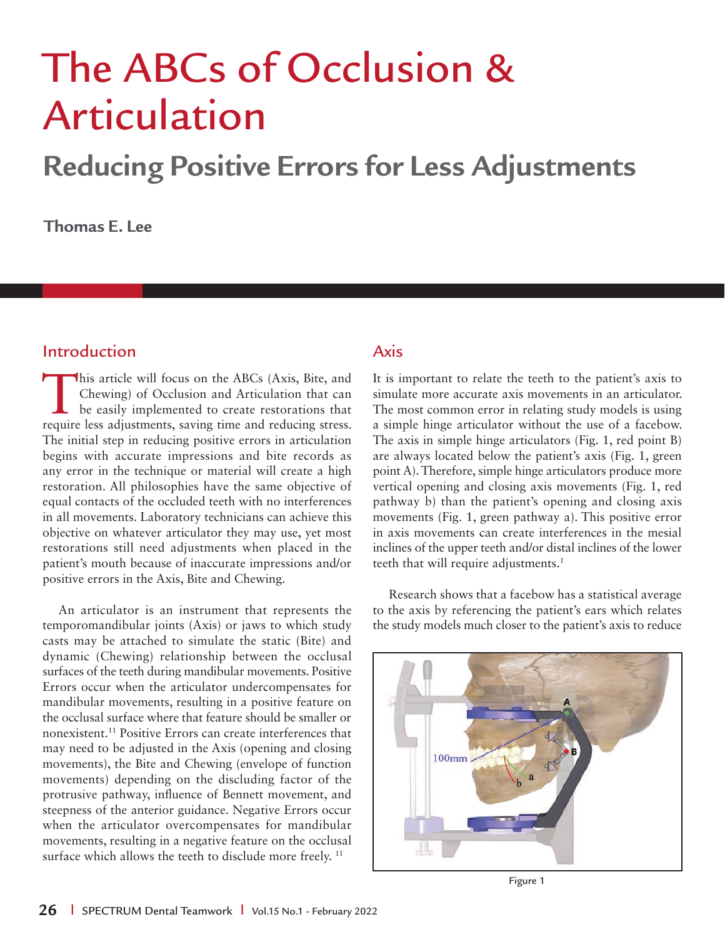# The ABCs of Occlusion & Articulation

# **Reducing Positive Errors for Less Adjustments**

**Thomas E. Lee**

# Introduction

This article will focus on the ABCs (Axis, Bite, and Chewing) of Occlusion and Articulation that can be easily implemented to create restorations that require less adjustments, saving time and reducing stress. The initial step in reducing positive errors in articulation begins with accurate impressions and bite records as any error in the technique or material will create a high restoration. All philosophies have the same objective of equal contacts of the occluded teeth with no interferences in all movements. Laboratory technicians can achieve this objective on whatever articulator they may use, yet most restorations still need adjustments when placed in the patient's mouth because of inaccurate impressions and/or positive errors in the Axis, Bite and Chewing.

An articulator is an instrument that represents the temporomandibular joints (Axis) or jaws to which study casts may be attached to simulate the static (Bite) and dynamic (Chewing) relationship between the occlusal surfaces of the teeth during mandibular movements. Positive Errors occur when the articulator undercompensates for mandibular movements, resulting in a positive feature on the occlusal surface where that feature should be smaller or nonexistent.11 Positive Errors can create interferences that may need to be adjusted in the Axis (opening and closing movements), the Bite and Chewing (envelope of function movements) depending on the discluding factor of the protrusive pathway, influence of Bennett movement, and steepness of the anterior guidance. Negative Errors occur when the articulator overcompensates for mandibular movements, resulting in a negative feature on the occlusal surface which allows the teeth to disclude more freely.<sup>11</sup>

#### Axis

It is important to relate the teeth to the patient's axis to simulate more accurate axis movements in an articulator. The most common error in relating study models is using a simple hinge articulator without the use of a facebow. The axis in simple hinge articulators (Fig. 1, red point B) are always located below the patient's axis (Fig. 1, green point A). Therefore, simple hinge articulators produce more vertical opening and closing axis movements (Fig. 1, red pathway b) than the patient's opening and closing axis movements (Fig. 1, green pathway a). This positive error in axis movements can create interferences in the mesial inclines of the upper teeth and/or distal inclines of the lower teeth that will require adjustments.<sup>1</sup>

Research shows that a facebow has a statistical average to the axis by referencing the patient's ears which relates the study models much closer to the patient's axis to reduce



Figure 1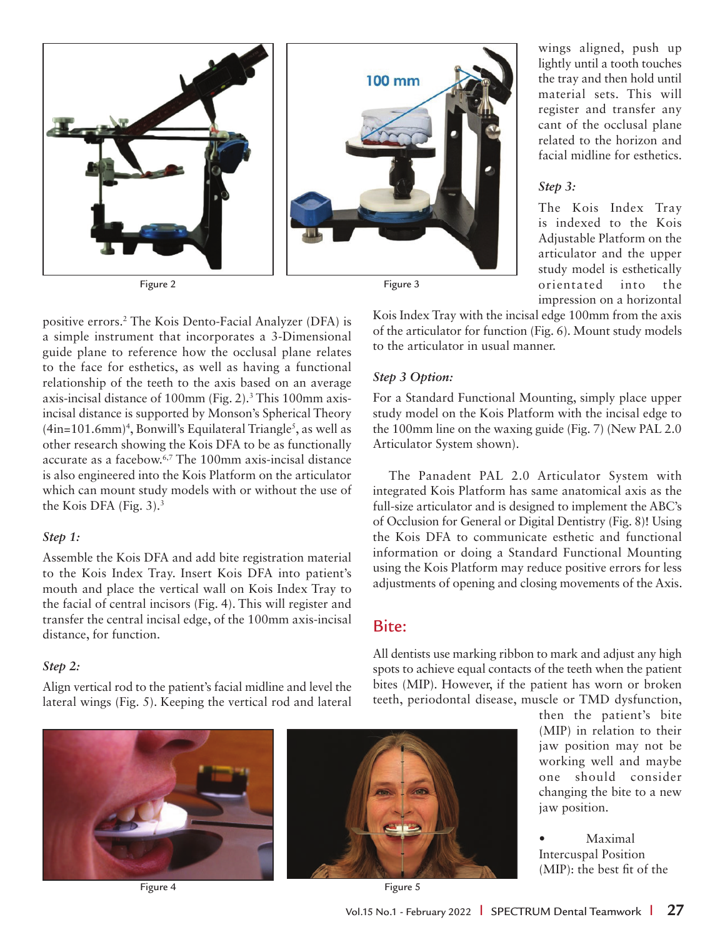

positive errors.2 The Kois Dento-Facial Analyzer (DFA) is a simple instrument that incorporates a 3-Dimensional guide plane to reference how the occlusal plane relates to the face for esthetics, as well as having a functional relationship of the teeth to the axis based on an average axis-incisal distance of 100mm (Fig. 2).<sup>3</sup> This 100mm axisincisal distance is supported by Monson's Spherical Theory  $(4in=101.6mm)^4$ , Bonwill's Equilateral Triangle<sup>5</sup>, as well as other research showing the Kois DFA to be as functionally accurate as a facebow.6,7 The 100mm axis-incisal distance is also engineered into the Kois Platform on the articulator which can mount study models with or without the use of the Kois DFA (Fig.  $3$ ).<sup>3</sup>

#### *Step 1:*

Assemble the Kois DFA and add bite registration material to the Kois Index Tray. Insert Kois DFA into patient's mouth and place the vertical wall on Kois Index Tray to the facial of central incisors (Fig. 4). This will register and transfer the central incisal edge, of the 100mm axis-incisal distance, for function.

#### *Step 2:*

Align vertical rod to the patient's facial midline and level the lateral wings (Fig. 5). Keeping the vertical rod and lateral wings aligned, push up lightly until a tooth touches the tray and then hold until material sets. This will register and transfer any cant of the occlusal plane related to the horizon and facial midline for esthetics.

#### *Step 3:*

The Kois Index Tray is indexed to the Kois Adjustable Platform on the articulator and the upper study model is esthetically orientated into the impression on a horizontal

Kois Index Tray with the incisal edge 100mm from the axis of the articulator for function (Fig. 6). Mount study models to the articulator in usual manner.

#### *Step 3 Option:*

For a Standard Functional Mounting, simply place upper study model on the Kois Platform with the incisal edge to the 100mm line on the waxing guide (Fig. 7) (New PAL 2.0 Articulator System shown).

The Panadent PAL 2.0 Articulator System with integrated Kois Platform has same anatomical axis as the full-size articulator and is designed to implement the ABC's of Occlusion for General or Digital Dentistry (Fig. 8)! Using the Kois DFA to communicate esthetic and functional information or doing a Standard Functional Mounting using the Kois Platform may reduce positive errors for less adjustments of opening and closing movements of the Axis.

## Bite:

All dentists use marking ribbon to mark and adjust any high spots to achieve equal contacts of the teeth when the patient bites (MIP). However, if the patient has worn or broken teeth, periodontal disease, muscle or TMD dysfunction,

Figure 4 **Figure 5** 



then the patient's bite (MIP) in relation to their jaw position may not be working well and maybe one should consider changing the bite to a new jaw position.

**Maximal** Intercuspal Position  $(MIP)$ : the best fit of the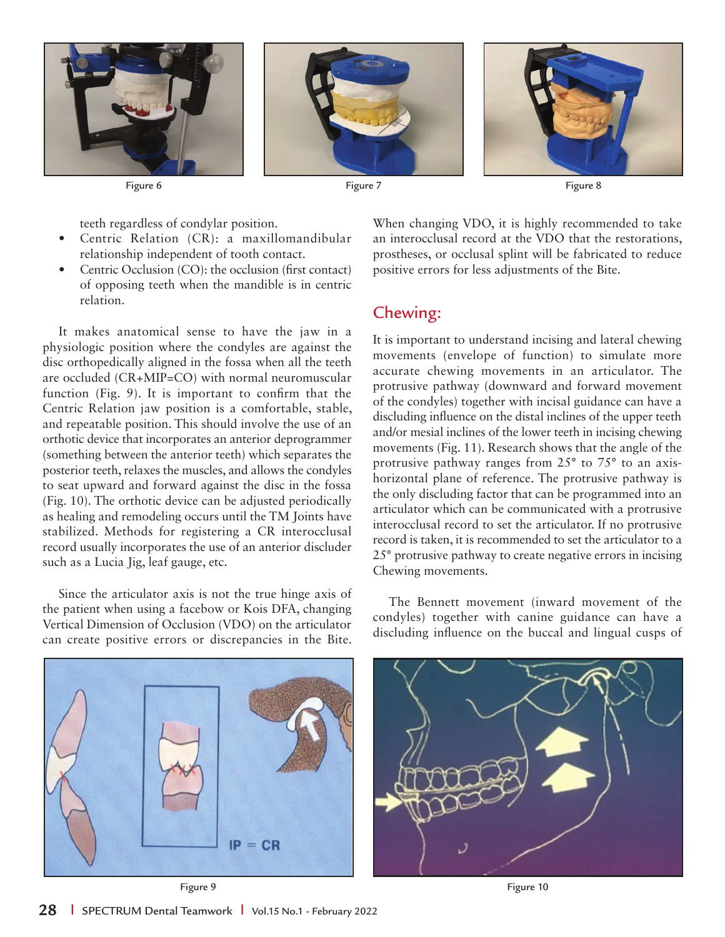





Figure 6 Figure 7 Figure 8

teeth regardless of condylar position.

- Centric Relation (CR): a maxillomandibular relationship independent of tooth contact.
- Centric Occlusion (CO): the occlusion (first contact) of opposing teeth when the mandible is in centric relation.

It makes anatomical sense to have the jaw in a physiologic position where the condyles are against the disc orthopedically aligned in the fossa when all the teeth are occluded (CR+MIP=CO) with normal neuromuscular function (Fig. 9). It is important to confirm that the Centric Relation jaw position is a comfortable, stable, and repeatable position. This should involve the use of an orthotic device that incorporates an anterior deprogrammer (something between the anterior teeth) which separates the posterior teeth, relaxes the muscles, and allows the condyles to seat upward and forward against the disc in the fossa (Fig. 10). The orthotic device can be adjusted periodically as healing and remodeling occurs until the TM Joints have stabilized. Methods for registering a CR interocclusal record usually incorporates the use of an anterior discluder such as a Lucia Jig, leaf gauge, etc.

Since the articulator axis is not the true hinge axis of the patient when using a facebow or Kois DFA, changing Vertical Dimension of Occlusion (VDO) on the articulator can create positive errors or discrepancies in the Bite.

When changing VDO, it is highly recommended to take an interocclusal record at the VDO that the restorations, prostheses, or occlusal splint will be fabricated to reduce positive errors for less adjustments of the Bite.

## Chewing:

It is important to understand incising and lateral chewing movements (envelope of function) to simulate more accurate chewing movements in an articulator. The protrusive pathway (downward and forward movement of the condyles) together with incisal guidance can have a discluding influence on the distal inclines of the upper teeth and/or mesial inclines of the lower teeth in incising chewing movements (Fig. 11). Research shows that the angle of the protrusive pathway ranges from 25° to 75° to an axishorizontal plane of reference. The protrusive pathway is the only discluding factor that can be programmed into an articulator which can be communicated with a protrusive interocclusal record to set the articulator. If no protrusive record is taken, it is recommended to set the articulator to a 25° protrusive pathway to create negative errors in incising Chewing movements.

The Bennett movement (inward movement of the condyles) together with canine guidance can have a discluding influence on the buccal and lingual cusps of

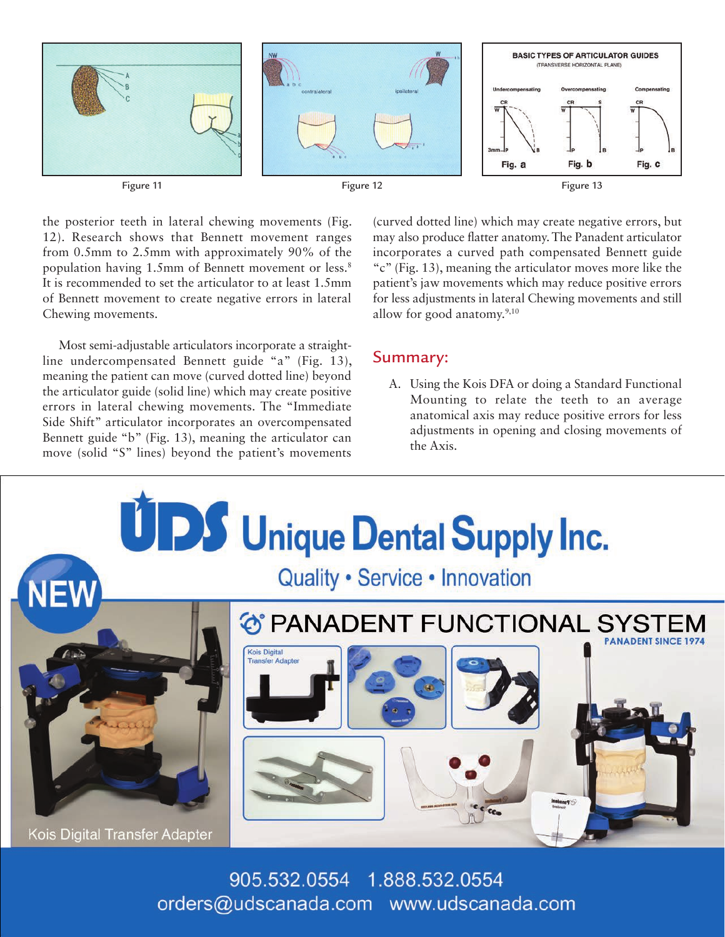

the posterior teeth in lateral chewing movements (Fig. 12). Research shows that Bennett movement ranges from 0.5mm to 2.5mm with approximately 90% of the population having 1.5mm of Bennett movement or less.<sup>8</sup> It is recommended to set the articulator to at least 1.5mm of Bennett movement to create negative errors in lateral Chewing movements.

Most semi-adjustable articulators incorporate a straightline undercompensated Bennett guide "a" (Fig. 13), meaning the patient can move (curved dotted line) beyond the articulator guide (solid line) which may create positive errors in lateral chewing movements. The "Immediate Side Shift" articulator incorporates an overcompensated Bennett guide "b" (Fig. 13), meaning the articulator can move (solid "S" lines) beyond the patient's movements (curved dotted line) which may create negative errors, but may also produce flatter anatomy. The Panadent articulator incorporates a curved path compensated Bennett guide "c" (Fig. 13), meaning the articulator moves more like the patient's jaw movements which may reduce positive errors for less adjustments in lateral Chewing movements and still allow for good anatomy.9,10

#### Summary:

A. Using the Kois DFA or doing a Standard Functional Mounting to relate the teeth to an average anatomical axis may reduce positive errors for less adjustments in opening and closing movements of the Axis.



905.532.0554 1.888.532.0554 orders@udscanada.com www.udscanada.com